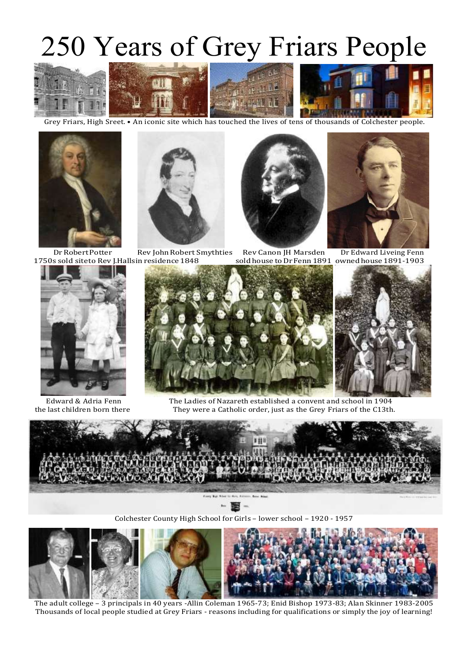## 250 Years of Grey Friars People







Grey Friars, High Sreet. • An iconic site which has touched the lives of tens of thousands of Colchester people.





DrRobertPotter Rev JohnRobert Smythties Rev Canon JH Marsden Dr Edward Liveing Fenn 1750s sold siteto Rev J.Hallsin residence 1848 soldhouse toDrFenn1891 owned house1891-1903









Edward & Adria Fenn The Ladies of Nazareth established a convent and school in 1904 the last children born there They were a Catholic order, just as the Grey Friars of the C13th.



Colchester County High School for Girls – lower school – 1920 - 1957



The adult college – 3 principals in 40 years -Allin Coleman 1965-73; Enid Bishop 1973-83; Alan Skinner 1983-2005 Thousands of local people studied at Grey Friars - reasons including for qualifications or simply the joy of learning!